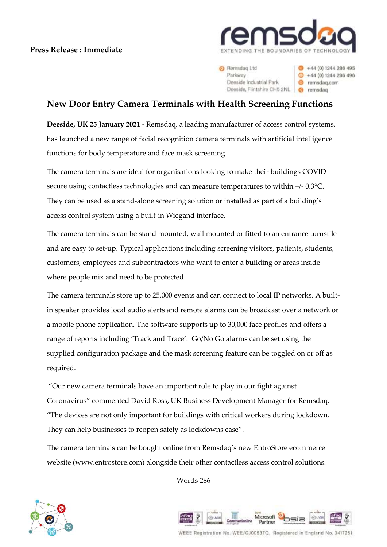## **Press Release : Immediate**



 $+44(0)$  1244 286 495

 $+44(0)1244286496$ 

e remsdag.com

6 remadag

**O** Remsdag Ltd Parloway Deeside Industrial Park Deeside, Flintshire CH5 2NL

**New Door Entry Camera Terminals with Health Screening Functions**

**Deeside, UK 25 January 2021** - Remsdaq, a leading manufacturer of access control systems, has launched a new range of facial recognition camera terminals with artificial intelligence functions for body temperature and face mask screening.

The camera terminals are ideal for organisations looking to make their buildings COVIDsecure using contactless technologies and can measure temperatures to within +/- 0.3°C. They can be used as a stand-alone screening solution or installed as part of a building's access control system using a built-in Wiegand interface.

The camera terminals can be stand mounted, wall mounted or fitted to an entrance turnstile and are easy to set-up. Typical applications including screening visitors, patients, students, customers, employees and subcontractors who want to enter a building or areas inside where people mix and need to be protected.

The camera terminals store up to 25,000 events and can connect to local IP networks. A builtin speaker provides local audio alerts and remote alarms can be broadcast over a network or a mobile phone application. The software supports up to 30,000 face profiles and offers a range of reports including 'Track and Trace'. Go/No Go alarms can be set using the supplied configuration package and the mask screening feature can be toggled on or off as required.

"Our new camera terminals have an important role to play in our fight against Coronavirus" commented David Ross, UK Business Development Manager for Remsdaq. "The devices are not only important for buildings with critical workers during lockdown. They can help businesses to reopen safely as lockdowns ease".

The camera terminals can be bought online from Remsdaq's new EntroStore ecommerce website (www.entrostore.com) alongside their other contactless access control solutions.

-- Words 286 --





WEEE Registration No. WEE/GJ0053TQ. Registered in England No. 3417251